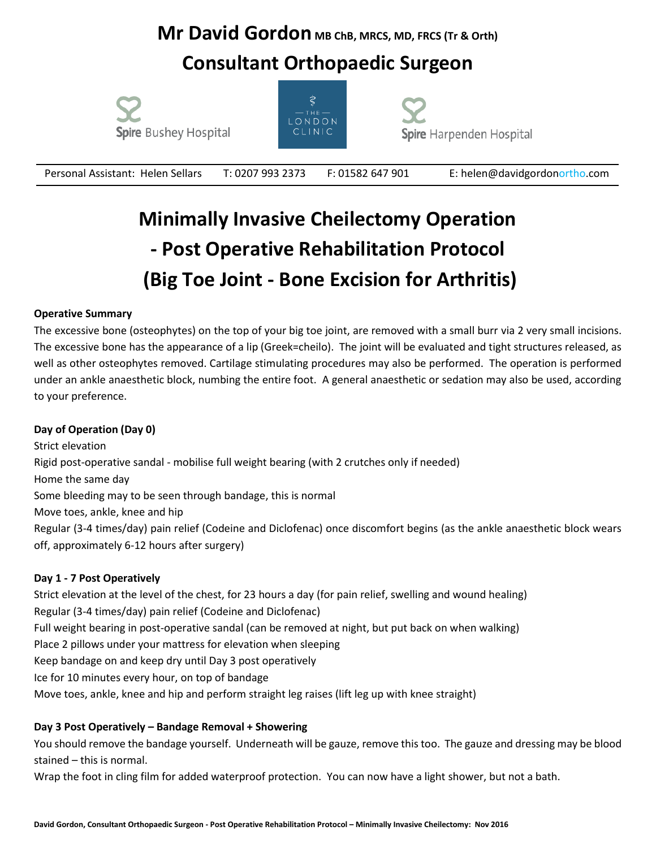### **Mr David Gordon** MB ChB, MRCS, MD, FRCS (Tr & Orth)

### **Consultant Orthopaedic Surgeon**







Personal Assistant: Helen SellarsT: 0207 993 2373 F: 01582 647 901 E: [helen@davidgordonortho.com](mailto:helen@davidgordonortho.com)

# **Minimally Invasive Cheilectomy Operation - Post Operative Rehabilitation Protocol (Big Toe Joint - Bone Excision for Arthritis)**

#### **Operative Summary**

The excessive bone (osteophytes) on the top of your big toe joint, are removed with a small burr via 2 very small incisions. The excessive bone has the appearance of a lip (Greek=cheilo). The joint will be evaluated and tight structures released, as well as other osteophytes removed. Cartilage stimulating procedures may also be performed. The operation is performed under an ankle anaesthetic block, numbing the entire foot. A general anaesthetic or sedation may also be used, according to your preference.

#### **Day of Operation (Day 0)**

Strict elevation Rigid post-operative sandal - mobilise full weight bearing (with 2 crutches only if needed) Home the same day Some bleeding may to be seen through bandage, this is normal Move toes, ankle, knee and hip Regular (3-4 times/day) pain relief (Codeine and Diclofenac) once discomfort begins (as the ankle anaesthetic block wears off, approximately 6-12 hours after surgery)

#### **Day 1 - 7 Post Operatively**

Strict elevation at the level of the chest, for 23 hours a day (for pain relief, swelling and wound healing) Regular (3-4 times/day) pain relief (Codeine and Diclofenac) Full weight bearing in post-operative sandal (can be removed at night, but put back on when walking) Place 2 pillows under your mattress for elevation when sleeping Keep bandage on and keep dry until Day 3 post operatively Ice for 10 minutes every hour, on top of bandage Move toes, ankle, knee and hip and perform straight leg raises (lift leg up with knee straight)

#### **Day 3 Post Operatively – Bandage Removal + Showering**

You should remove the bandage yourself. Underneath will be gauze, remove this too. The gauze and dressing may be blood stained – this is normal.

Wrap the foot in cling film for added waterproof protection. You can now have a light shower, but not a bath.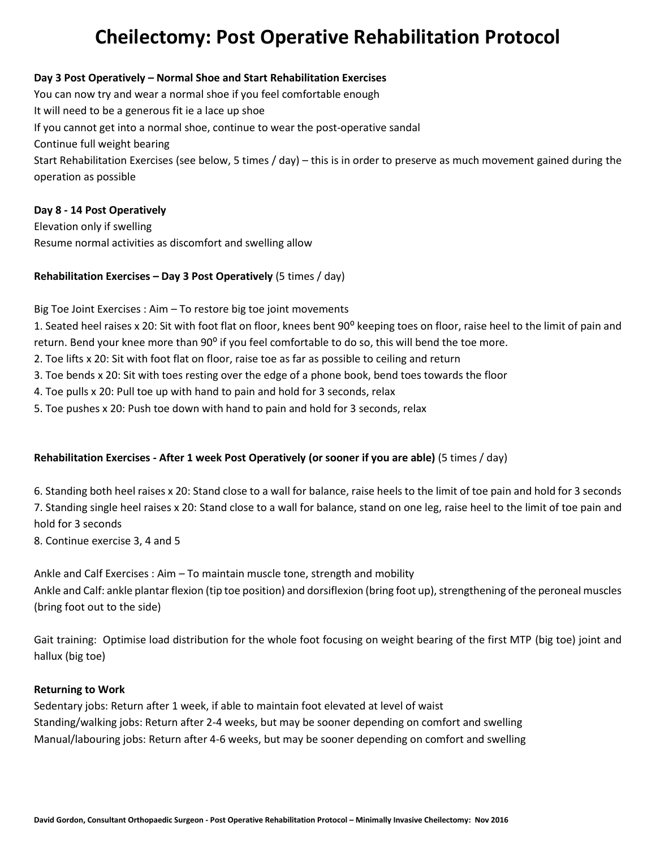## **Cheilectomy: Post Operative Rehabilitation Protocol**

#### **Day 3 Post Operatively – Normal Shoe and Start Rehabilitation Exercises**

You can now try and wear a normal shoe if you feel comfortable enough It will need to be a generous fit ie a lace up shoe If you cannot get into a normal shoe, continue to wear the post-operative sandal Continue full weight bearing Start Rehabilitation Exercises (see below, 5 times / day) – this is in order to preserve as much movement gained during the operation as possible

#### **Day 8 - 14 Post Operatively**

Elevation only if swelling Resume normal activities as discomfort and swelling allow

#### **Rehabilitation Exercises – Day 3 Post Operatively** (5 times / day)

Big Toe Joint Exercises : Aim – To restore big toe joint movements

1. Seated heel raises x 20: Sit with foot flat on floor, knees bent 90° keeping toes on floor, raise heel to the limit of pain and return. Bend your knee more than 90<sup>°</sup> if you feel comfortable to do so, this will bend the toe more.

- 2. Toe lifts x 20: Sit with foot flat on floor, raise toe as far as possible to ceiling and return
- 3. Toe bends x 20: Sit with toes resting over the edge of a phone book, bend toes towards the floor
- 4. Toe pulls x 20: Pull toe up with hand to pain and hold for 3 seconds, relax
- 5. Toe pushes x 20: Push toe down with hand to pain and hold for 3 seconds, relax

#### **Rehabilitation Exercises - After 1 week Post Operatively (or sooner if you are able)** (5 times / day)

6. Standing both heel raises x 20: Stand close to a wall for balance, raise heels to the limit of toe pain and hold for 3 seconds 7. Standing single heel raises x 20: Stand close to a wall for balance, stand on one leg, raise heel to the limit of toe pain and hold for 3 seconds

8. Continue exercise 3, 4 and 5

Ankle and Calf Exercises : Aim – To maintain muscle tone, strength and mobility Ankle and Calf: ankle plantar flexion (tip toe position) and dorsiflexion (bring foot up), strengthening of the peroneal muscles (bring foot out to the side)

Gait training: Optimise load distribution for the whole foot focusing on weight bearing of the first MTP (big toe) joint and hallux (big toe)

#### **Returning to Work**

Sedentary jobs: Return after 1 week, if able to maintain foot elevated at level of waist Standing/walking jobs: Return after 2-4 weeks, but may be sooner depending on comfort and swelling Manual/labouring jobs: Return after 4-6 weeks, but may be sooner depending on comfort and swelling